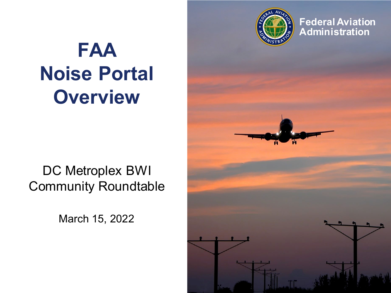

**Federal Aviation Administration**

# **FAA Noise Portal Overview**

#### DC Metroplex BWI Community Roundtable

March 15, 2022

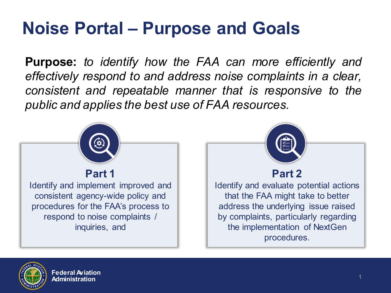#### **Noise Portal – Purpose and Goals**

**Purpose:** *to identify how the FAA can more efficiently and effectively respond to and address noise complaints in a clear, consistent and repeatable manner that is responsive to the public and applies the best use of FAA resources.*



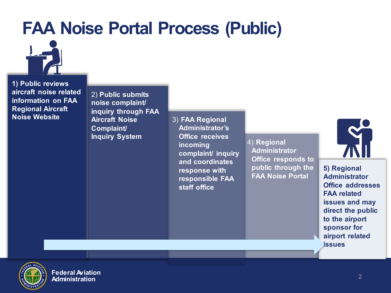#### **FAA Noise Portal Process (Public)**



**1) Public reviews aircraft noise related information on FAA Regional Aircraft Noise Website**

2) **Public submits noise complaint/ inquiry through FAA Aircraft Noise Complaint/ Inquiry System**

3) **FAA Regional Administrator's Office receives incoming complaint/ inquiry and coordinates response with responsible FAA staff office**

4) **Regional Administrator Office responds to public through the FAA Noise Portal**



**5) Regional Administrator Office addresses FAA related issues and may direct the public to the airport sponsor for airport related issues**



**Federal Aviation Administration**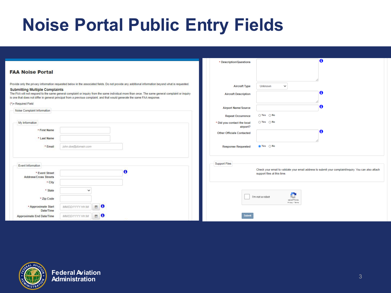#### **Noise Portal Public Entry Fields**

|                                                                                                                                                                                                                                                                                                                                                                                                                                                                               | * Description/Questions                                    | $\bullet$                                                                                                                            |
|-------------------------------------------------------------------------------------------------------------------------------------------------------------------------------------------------------------------------------------------------------------------------------------------------------------------------------------------------------------------------------------------------------------------------------------------------------------------------------|------------------------------------------------------------|--------------------------------------------------------------------------------------------------------------------------------------|
| <b>FAA Noise Portal</b>                                                                                                                                                                                                                                                                                                                                                                                                                                                       |                                                            |                                                                                                                                      |
| Provide only the privacy information requested below in the associated fields. Do not provide any additional information beyond what is requested.<br><b>Submitting Multiple Complaints</b><br>The FAA will not respond to the same general complaint or inquiry from the same individual more than once. The same general complaint or inquiry<br>is one that does not differ in general principal from a previous complaint, and that would generate the same FAA response. | <b>Aircraft Type</b><br><b>Aircraft Description</b>        | $\checkmark$<br>Unknown<br>0                                                                                                         |
| $(*)$ = Required Field                                                                                                                                                                                                                                                                                                                                                                                                                                                        |                                                            | ø                                                                                                                                    |
| Noise Complaint Information                                                                                                                                                                                                                                                                                                                                                                                                                                                   | <b>Airport Name/Source</b>                                 |                                                                                                                                      |
|                                                                                                                                                                                                                                                                                                                                                                                                                                                                               | <b>Repeat Occurrence</b>                                   | ○ Yes ○ No                                                                                                                           |
| My Information                                                                                                                                                                                                                                                                                                                                                                                                                                                                | * Did you contact the local<br>airport?                    | $\bigcirc$ Yes $\bigcirc$ No                                                                                                         |
| * First Name                                                                                                                                                                                                                                                                                                                                                                                                                                                                  | <b>Other Officials Contacted</b>                           | A                                                                                                                                    |
| * Last Name                                                                                                                                                                                                                                                                                                                                                                                                                                                                   |                                                            |                                                                                                                                      |
| john.doe@domain.com<br>* Email                                                                                                                                                                                                                                                                                                                                                                                                                                                | <b>Response Requested</b>                                  | to Yes ○ No                                                                                                                          |
|                                                                                                                                                                                                                                                                                                                                                                                                                                                                               |                                                            |                                                                                                                                      |
|                                                                                                                                                                                                                                                                                                                                                                                                                                                                               |                                                            |                                                                                                                                      |
| Event Information                                                                                                                                                                                                                                                                                                                                                                                                                                                             | <b>Support Files</b>                                       |                                                                                                                                      |
| O<br>* Event Street<br><b>Address/Cross Streets</b>                                                                                                                                                                                                                                                                                                                                                                                                                           |                                                            | Check your email to validate your email address to submit your complaint/inquiry. You can also attach<br>support files at this time. |
| * City                                                                                                                                                                                                                                                                                                                                                                                                                                                                        |                                                            |                                                                                                                                      |
| * State<br>$\checkmark$                                                                                                                                                                                                                                                                                                                                                                                                                                                       | м<br>I'm not a robot<br>K.<br>reCAPTCHA<br>Privacy - Terma |                                                                                                                                      |
| * Zip Code                                                                                                                                                                                                                                                                                                                                                                                                                                                                    |                                                            |                                                                                                                                      |
| $\qquad \qquad \blacksquare$<br>O<br>* Approximate Start<br>MM/DD/YYYY HH:MI<br>Date/Time                                                                                                                                                                                                                                                                                                                                                                                     |                                                            |                                                                                                                                      |
| 首<br>O<br>MM/DD/YYYY HH:MI<br><b>Approximate End Date/Time</b>                                                                                                                                                                                                                                                                                                                                                                                                                | Submi                                                      |                                                                                                                                      |

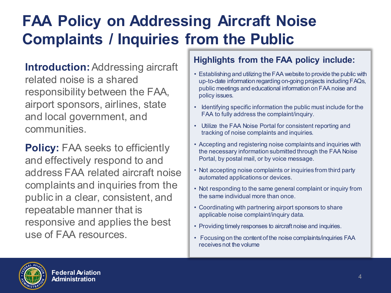#### **FAA Policy on Addressing Aircraft Noise Complaints / Inquiries from the Public**

**Introduction:** Addressing aircraft related noise is a shared responsibility between the FAA, airport sponsors, airlines, state and local government, and communities.

**Policy: FAA seeks to efficiently** and effectively respond to and address FAA related aircraft noise complaints and inquiries from the public in a clear, consistent, and repeatable manner that is responsive and applies the best use of FAA resources.

#### **Highlights from the FAA policy include:**

- **.** public meetings and educational information on FAA noise and • Establishing and utilizing the FAA website to provide the public with up-to-date information regarding on-going projects including FAQs, policy issues.
- Identifying specific information the public must include for the FAA to fully address the complaint/inquiry.
- Utilize the FAA Noise Portal for consistent reporting and tracking of noise complaints and inquiries.
- Accepting and registering noise complaints and inquiries with the necessary information submitted through the FAA Noise Portal, by postal mail, or by voice message.
- Not accepting noise complaints or inquiries from third party automated applications or devices.
- Not responding to the same general complaint or inquiry from the same individual more than once.
- Coordinating with partnering airport sponsors to share applicable noise complaint/inquiry data.
- Providing timely responses to aircraft noise and inquiries.
- Focusing on the content of the noise complaints/inquiries FAA receives not the volume

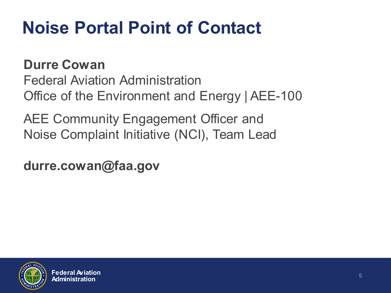## **Noise Portal Point of Contact**

**Durre Cowan** Federal Aviation Administration Office of the Environment and Energy | AEE-100

AEE Community Engagement Officer and Noise Complaint Initiative (NCI), Team Lead

**durre.cowan@faa.gov**

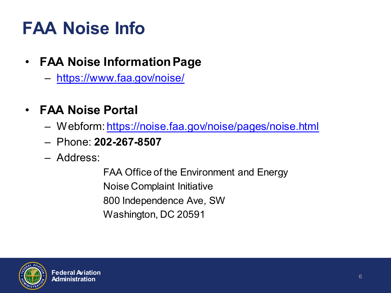## **FAA Noise Info**

- **FAA Noise Information Page**
	- <https://www.faa.gov/noise/>
- **FAA Noise Portal**
	- Webform:<https://noise.faa.gov/noise/pages/noise.html>
	- Phone: **202-267-8507**
	- Address:

FAA Office of the Environment and Energy Noise Complaint Initiative 800 Independence Ave, SW Washington, DC 20591